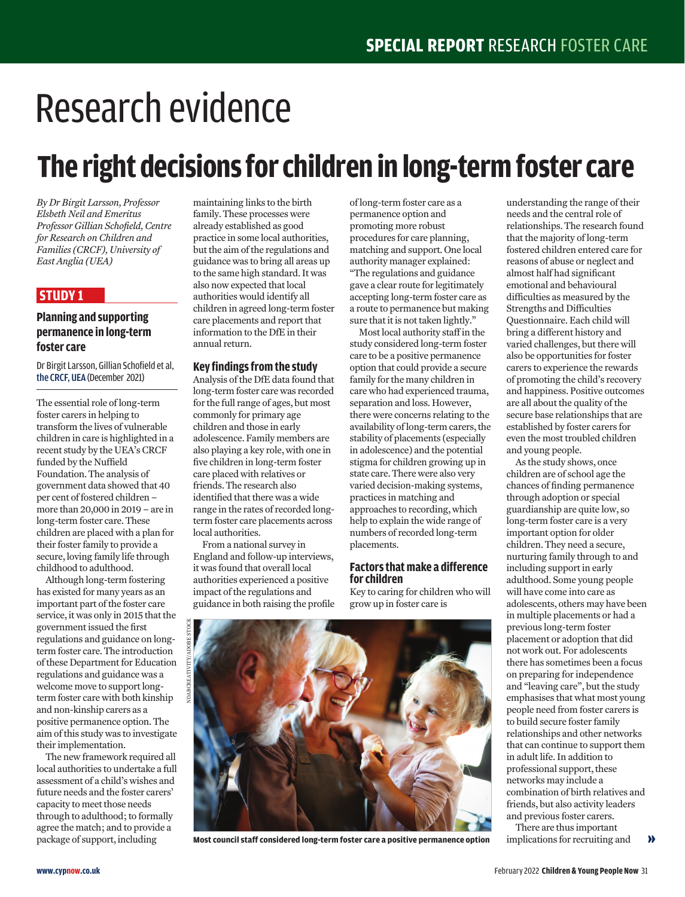# Research evidence

# **The right decisions for children in long-term foster care**

*By Dr Birgit Larsson, Professor Elsbeth Neil and Emeritus Professor Gillian Schofield, Centre for Research on Children and Families (CRCF), University of East Anglia (UEA)* 

## **STUDY 1**

### **Planning and supporting permanence in long-term foster care**

Dr Birgit Larsson, Gillian Schofield et al, the CRCF, UEA (December 2021)

The essential role of long-term foster carers in helping to transform the lives of vulnerable children in care is highlighted in a recent study by the UEA's CRCF funded by the Nuffield Foundation. The analysis of government data showed that 40 per cent of fostered children – more than 20,000 in 2019 – are in long-term foster care. These children are placed with a plan for their foster family to provide a secure, loving family life through childhood to adulthood.

Although long-term fostering has existed for many years as an important part of the foster care service, it was only in 2015 that the government issued the first regulations and guidance on longterm foster care. The introduction of these Department for Education regulations and guidance was a welcome move to support longterm foster care with both kinship and non-kinship carers as a positive permanence option. The aim of this study was to investigate their implementation.

The new framework required all local authorities to undertake a full assessment of a child's wishes and future needs and the foster carers' capacity to meet those needs through to adulthood; to formally agree the match; and to provide a package of support, including

maintaining links to the birth family. These processes were already established as good practice in some local authorities, but the aim of the regulations and guidance was to bring all areas up to the same high standard. It was also now expected that local authorities would identify all children in agreed long-term foster care placements and report that information to the DfE in their annual return.

#### **Key findings from the study**

Analysis of the DfE data found that long-term foster care was recorded for the full range of ages, but most commonly for primary age children and those in early adolescence. Family members are also playing a key role, with one in five children in long-term foster care placed with relatives or friends. The research also identified that there was a wide range in the rates of recorded longterm foster care placements across local authorities.

From a national survey in England and follow-up interviews, it was found that overall local authorities experienced a positive impact of the regulations and guidance in both raising the profile

of long-term foster care as a permanence option and promoting more robust procedures for care planning, matching and support. One local authority manager explained: "The regulations and guidance gave a clear route for legitimately accepting long-term foster care as a route to permanence but making sure that it is not taken lightly."

Most local authority staff in the study considered long-term foster care to be a positive permanence option that could provide a secure family for the many children in care who had experienced trauma, separation and loss. However, there were concerns relating to the availability of long-term carers, the stability of placements (especially in adolescence) and the potential stigma for children growing up in state care. There were also very varied decision-making systems, practices in matching and approaches to recording, which help to explain the wide range of numbers of recorded long-term placements.

#### **Factors that make a difference for children**

Key to caring for children who will grow up in foster care is



**Most council staff considered long-term foster care a positive permanence option**

understanding the range of their needs and the central role of relationships. The research found that the majority of long-term fostered children entered care for reasons of abuse or neglect and almost half had significant emotional and behavioural difficulties as measured by the Strengths and Difficulties Questionnaire. Each child will bring a different history and varied challenges, but there will also be opportunities for foster carers to experience the rewards of promoting the child's recovery and happiness. Positive outcomes are all about the quality of the secure base relationships that are established by foster carers for even the most troubled children and young people.

As the study shows, once children are of school age the chances of finding permanence through adoption or special guardianship are quite low, so long-term foster care is a very important option for older children. They need a secure, nurturing family through to and including support in early adulthood. Some young people will have come into care as adolescents, others may have been in multiple placements or had a previous long-term foster placement or adoption that did not work out. For adolescents there has sometimes been a focus on preparing for independence and "leaving care", but the study emphasises that what most young people need from foster carers is to build secure foster family relationships and other networks that can continue to support them in adult life. In addition to professional support, these networks may include a combination of birth relatives and friends, but also activity leaders and previous foster carers.

There are thus important implications for recruiting and »